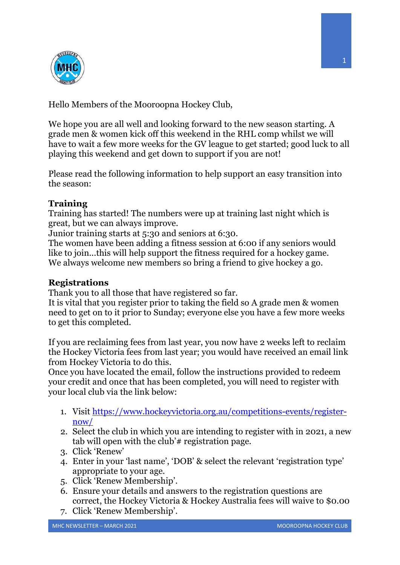

Hello Members of the Mooroopna Hockey Club,

We hope you are all well and looking forward to the new season starting. A grade men & women kick off this weekend in the RHL comp whilst we will have to wait a few more weeks for the GV league to get started; good luck to all playing this weekend and get down to support if you are not!

Please read the following information to help support an easy transition into the season:

# **Training**

Training has started! The numbers were up at training last night which is great, but we can always improve.

Junior training starts at 5:30 and seniors at 6:30.

The women have been adding a fitness session at 6:00 if any seniors would like to join...this will help support the fitness required for a hockey game. We always welcome new members so bring a friend to give hockey a go.

# **Registrations**

Thank you to all those that have registered so far.

It is vital that you register prior to taking the field so A grade men & women need to get on to it prior to Sunday; everyone else you have a few more weeks to get this completed.

If you are reclaiming fees from last year, you now have 2 weeks left to reclaim the Hockey Victoria fees from last year; you would have received an email link from Hockey Victoria to do this.

Once you have located the email, follow the instructions provided to redeem your credit and once that has been completed, you will need to register with your local club via the link below:

- 1. Visit https://www.hockeyvictoria.org.au/competitions-events/registernow/
- 2. Select the club in which you are intending to register with in 2021, a new tab will open with the club'# registration page.
- 3. Click 'Renew'
- 4. Enter in your 'last name', 'DOB' & select the relevant 'registration type' appropriate to your age.
- 5. Click 'Renew Membership'.
- 6. Ensure your details and answers to the registration questions are correct, the Hockey Victoria & Hockey Australia fees will waive to \$0.00
- 7. Click 'Renew Membership'.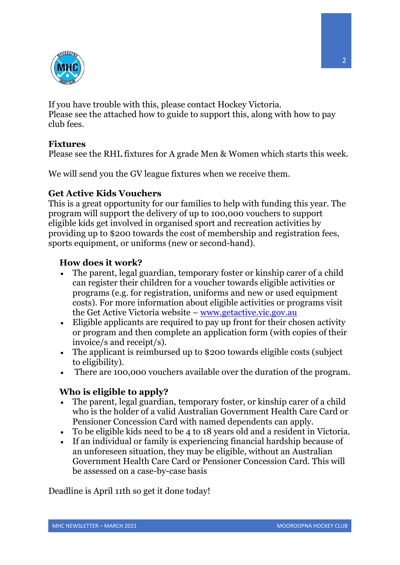

If you have trouble with this, please contact Hockey Victoria. Please see the attached how to guide to support this, along with how to pay club fees.

### **Fixtures**

Please see the RHL fixtures for A grade Men & Women which starts this week.

We will send you the GV league fixtures when we receive them.

#### **Get Active Kids Vouchers**

This is a great opportunity for our families to help with funding this year. The program will support the delivery of up to 100,000 vouchers to support eligible kids get involved in organised sport and recreation activities by providing up to \$200 towards the cost of membership and registration fees, sports equipment, or uniforms (new or second-hand).

### **How does it work?**

- The parent, legal guardian, temporary foster or kinship carer of a child can register their children for a voucher towards eligible activities or programs (e.g. for registration, uniforms and new or used equipment costs). For more information about eligible activities or programs visit the Get Active Victoria website – www.getactive.vic.gov.au
- Eligible applicants are required to pay up front for their chosen activity or program and then complete an application form (with copies of their invoice/s and receipt/s).
- The applicant is reimbursed up to \$200 towards eligible costs (subject to eligibility).
- There are 100,000 vouchers available over the duration of the program.

# **Who is eligible to apply?**

- The parent, legal guardian, temporary foster, or kinship carer of a child who is the holder of a valid Australian Government Health Care Card or Pensioner Concession Card with named dependents can apply.
- To be eligible kids need to be 4 to 18 years old and a resident in Victoria.
- If an individual or family is experiencing financial hardship because of an unforeseen situation, they may be eligible, without an Australian Government Health Care Card or Pensioner Concession Card. This will be assessed on a case-by-case basis

Deadline is April 11th so get it done today!